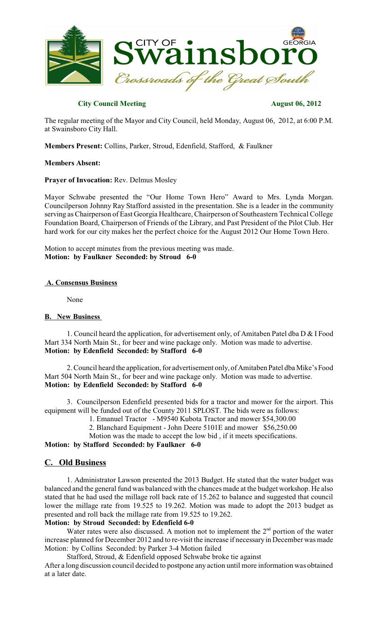

## **City Council Meeting August 06, 2012**

The regular meeting of the Mayor and City Council, held Monday, August 06, 2012, at 6:00 P.M. at Swainsboro City Hall.

**Members Present:** Collins, Parker, Stroud, Edenfield, Stafford, & Faulkner

#### **Members Absent:**

#### **Prayer of Invocation:** Rev. Delmus Mosley

Mayor Schwabe presented the "Our Home Town Hero" Award to Mrs. Lynda Morgan. Councilperson Johnny Ray Stafford assisted in the presentation. She is a leader in the community serving as Chairperson of East Georgia Healthcare, Chairperson of Southeastern Technical College Foundation Board, Chairperson of Friends of the Library, and Past President of the Pilot Club. Her hard work for our city makes her the perfect choice for the August 2012 Our Home Town Hero.

Motion to accept minutes from the previous meeting was made. **Motion: by Faulkner Seconded: by Stroud 6-0**

#### **A. Consensus Business**

None

### **B. New Business**

1. Council heard the application, for advertisement only, of Amitaben Patel dba D & I Food Mart 334 North Main St., for beer and wine package only. Motion was made to advertise. **Motion: by Edenfield Seconded: by Stafford 6-0**

2. Council heard the application, for advertisement only, of Amitaben Patel dba Mike'sFood Mart 504 North Main St., for beer and wine package only. Motion was made to advertise. **Motion: by Edenfield Seconded: by Stafford 6-0**

3. Councilperson Edenfield presented bids for a tractor and mower for the airport. This equipment will be funded out of the County 2011 SPLOST. The bids were as follows:

1. Emanuel Tractor - M9540 Kubota Tractor and mower \$54,300.00

2. Blanchard Equipment - John Deere 5101E and mower \$56,250.00

Motion was the made to accept the low bid , if it meets specifications.

**Motion: by Stafford Seconded: by Faulkner 6-0**

# **C. Old Business**

1. Administrator Lawson presented the 2013 Budget. He stated that the water budget was balanced and the general fund was balanced with the chances made at the budget workshop. He also stated that he had used the millage roll back rate of 15.262 to balance and suggested that council lower the millage rate from 19.525 to 19.262. Motion was made to adopt the 2013 budget as presented and roll back the millage rate from 19.525 to 19.262.

### **Motion: by Stroud Seconded: by Edenfield 6-0**

Water rates were also discussed. A motion not to implement the  $2<sup>nd</sup>$  portion of the water increase planned for December 2012 and to re-visit the increase if necessary in December was made Motion: by Collins Seconded: by Parker 3-4 Motion failed

Stafford, Stroud, & Edenfield opposed Schwabe broke tie against After a long discussion council decided to postpone any action until more information was obtained at a later date.